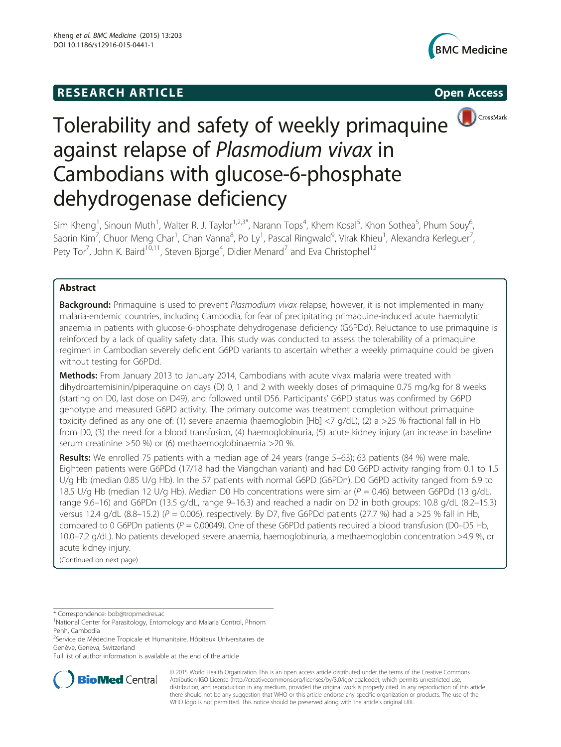## **RESEARCH ARTICLE Example 2014 12:30 The SEAR CHA RTICLE**





# Tolerability and safety of weekly primaquine against relapse of Plasmodium vivax in Cambodians with glucose-6-phosphate dehydrogenase deficiency

Sim Kheng<sup>1</sup>, Sinoun Muth<sup>1</sup>, Walter R. J. Taylor<sup>1,2,3\*</sup>, Narann Tops<sup>4</sup>, Khem Kosal<sup>5</sup>, Khon Sothea<sup>5</sup>, Phum Souy<sup>6</sup> , Saorin Kim<sup>7</sup>, Chuor Meng Char<sup>1</sup>, Chan Vanna<sup>8</sup>, Po Ly<sup>1</sup>, Pascal Ringwald<sup>9</sup>, Virak Khieu<sup>1</sup>, Alexandra Kerleguer<sup>7</sup> , Pety Tor<sup>7</sup>, John K. Baird<sup>10,11</sup>, Steven Bjorge<sup>4</sup>, Didier Menard<sup>7</sup> and Eva Christophel<sup>12</sup>

## Abstract

**Background:** Primaquine is used to prevent Plasmodium vivax relapse; however, it is not implemented in many malaria-endemic countries, including Cambodia, for fear of precipitating primaquine-induced acute haemolytic anaemia in patients with glucose-6-phosphate dehydrogenase deficiency (G6PDd). Reluctance to use primaquine is reinforced by a lack of quality safety data. This study was conducted to assess the tolerability of a primaquine regimen in Cambodian severely deficient G6PD variants to ascertain whether a weekly primaquine could be given without testing for G6PDd.

Methods: From January 2013 to January 2014, Cambodians with acute vivax malaria were treated with dihydroartemisinin/piperaquine on days (D) 0, 1 and 2 with weekly doses of primaquine 0.75 mg/kg for 8 weeks (starting on D0, last dose on D49), and followed until D56. Participants' G6PD status was confirmed by G6PD genotype and measured G6PD activity. The primary outcome was treatment completion without primaquine toxicity defined as any one of: (1) severe anaemia (haemoglobin [Hb] <7 g/dL), (2) a >25 % fractional fall in Hb from D0, (3) the need for a blood transfusion, (4) haemoglobinuria, (5) acute kidney injury (an increase in baseline serum creatinine >50 %) or (6) methaemoglobinaemia >20 %.

Results: We enrolled 75 patients with a median age of 24 years (range 5–63); 63 patients (84 %) were male. Eighteen patients were G6PDd (17/18 had the Viangchan variant) and had D0 G6PD activity ranging from 0.1 to 1.5 U/g Hb (median 0.85 U/g Hb). In the 57 patients with normal G6PD (G6PDn), D0 G6PD activity ranged from 6.9 to 18.5 U/g Hb (median 12 U/g Hb). Median D0 Hb concentrations were similar ( $P = 0.46$ ) between G6PDd (13 g/dL, range 9.6–16) and G6PDn (13.5 g/dL, range 9–16.3) and reached a nadir on D2 in both groups: 10.8 g/dL (8.2–15.3) versus 12.4 g/dL (8.8–15.2) ( $P = 0.006$ ), respectively. By D7, five G6PDd patients (27.7 %) had a >25 % fall in Hb, compared to 0 G6PDn patients ( $P = 0.00049$ ). One of these G6PDd patients required a blood transfusion (D0–D5 Hb, 10.0–7.2 g/dL). No patients developed severe anaemia, haemoglobinuria, a methaemoglobin concentration >4.9 %, or acute kidney injury.

(Continued on next page)

\* Correspondence: [bob@tropmedres.ac](mailto:bob@tropmedres.ac) <sup>1</sup>

<sup>2</sup>Service de Médecine Tropicale et Humanitaire, Hôpitaux Universitaires de Genève, Geneva, Switzerland

Full list of author information is available at the end of the article



© 2015 World Health Organization This is an open access article distributed under the terms of the Creative Commons Attribution IGO License [\(http://creativecommons.org/licenses/by/3.0/igo/legalcode](http://creativecommons.org/licenses/by/3.0/igo/legalcode)), which permits unrestricted use, distribution, and reproduction in any medium, provided the original work is properly cited. In any reproduction of this article there should not be any suggestion that WHO or this article endorse any specific organization or products. The use of the WHO logo is not permitted. This notice should be preserved along with the article's original URL.

<sup>&</sup>lt;sup>1</sup>National Center for Parasitology, Entomology and Malaria Control, Phnom Penh, Cambodia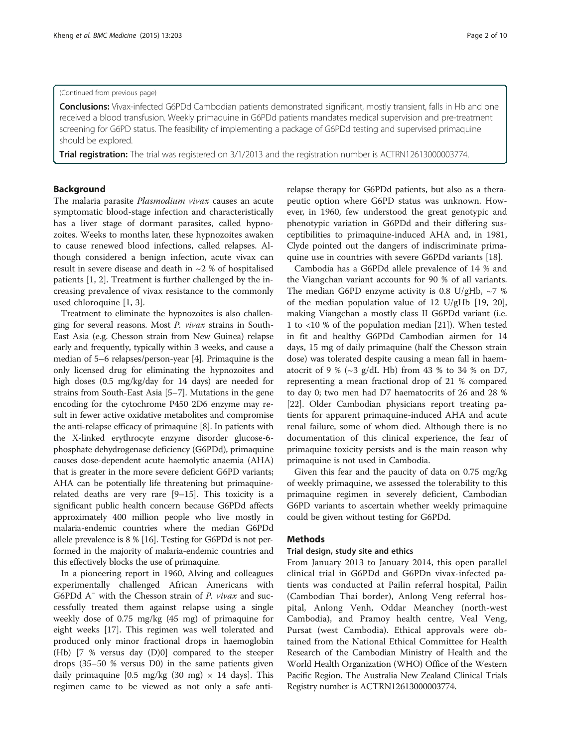#### (Continued from previous page)

Conclusions: Vivax-infected G6PDd Cambodian patients demonstrated significant, mostly transient, falls in Hb and one received a blood transfusion. Weekly primaquine in G6PDd patients mandates medical supervision and pre-treatment screening for G6PD status. The feasibility of implementing a package of G6PDd testing and supervised primaquine should be explored.

Trial registration: The trial was registered on 3/1/2013 and the registration number is [ACTRN12613000003774](https://www.anzctr.org.au/Trial/Registration/TrialReview.aspx?id=363399).

### Background

The malaria parasite *Plasmodium vivax* causes an acute symptomatic blood-stage infection and characteristically has a liver stage of dormant parasites, called hypnozoites. Weeks to months later, these hypnozoites awaken to cause renewed blood infections, called relapses. Although considered a benign infection, acute vivax can result in severe disease and death in ~2 % of hospitalised patients [[1, 2\]](#page-9-0). Treatment is further challenged by the increasing prevalence of vivax resistance to the commonly used chloroquine [[1](#page-9-0), [3](#page-9-0)].

Treatment to eliminate the hypnozoites is also challenging for several reasons. Most P. vivax strains in South-East Asia (e.g. Chesson strain from New Guinea) relapse early and frequently, typically within 3 weeks, and cause a median of 5–6 relapses/person-year [\[4](#page-9-0)]. Primaquine is the only licensed drug for eliminating the hypnozoites and high doses (0.5 mg/kg/day for 14 days) are needed for strains from South-East Asia [\[5](#page-9-0)–[7](#page-9-0)]. Mutations in the gene encoding for the cytochrome P450 2D6 enzyme may result in fewer active oxidative metabolites and compromise the anti-relapse efficacy of primaquine [\[8](#page-9-0)]. In patients with the X-linked erythrocyte enzyme disorder glucose-6 phosphate dehydrogenase deficiency (G6PDd), primaquine causes dose-dependent acute haemolytic anaemia (AHA) that is greater in the more severe deficient G6PD variants; AHA can be potentially life threatening but primaquinerelated deaths are very rare [\[9](#page-9-0)–[15](#page-9-0)]. This toxicity is a significant public health concern because G6PDd affects approximately 400 million people who live mostly in malaria-endemic countries where the median G6PDd allele prevalence is 8 % [\[16\]](#page-9-0). Testing for G6PDd is not performed in the majority of malaria-endemic countries and this effectively blocks the use of primaquine.

In a pioneering report in 1960, Alving and colleagues experimentally challenged African Americans with G6PDd A<sup>−</sup> with the Chesson strain of *P. vivax* and successfully treated them against relapse using a single weekly dose of 0.75 mg/kg (45 mg) of primaquine for eight weeks [[17](#page-9-0)]. This regimen was well tolerated and produced only minor fractional drops in haemoglobin (Hb) [7 % versus day (D)0] compared to the steeper drops (35–50 % versus D0) in the same patients given daily primaquine [0.5 mg/kg (30 mg)  $\times$  14 days]. This regimen came to be viewed as not only a safe anti-

relapse therapy for G6PDd patients, but also as a therapeutic option where G6PD status was unknown. However, in 1960, few understood the great genotypic and phenotypic variation in G6PDd and their differing susceptibilities to primaquine-induced AHA and, in 1981, Clyde pointed out the dangers of indiscriminate primaquine use in countries with severe G6PDd variants [[18\]](#page-9-0).

Cambodia has a G6PDd allele prevalence of 14 % and the Viangchan variant accounts for 90 % of all variants. The median G6PD enzyme activity is 0.8 U/gHb,  $\sim$ 7 % of the median population value of 12 U/gHb [[19, 20](#page-9-0)], making Viangchan a mostly class II G6PDd variant (i.e. 1 to <10 % of the population median [\[21](#page-9-0)]). When tested in fit and healthy G6PDd Cambodian airmen for 14 days, 15 mg of daily primaquine (half the Chesson strain dose) was tolerated despite causing a mean fall in haematocrit of 9 % ( $\sim$ 3 g/dL Hb) from 43 % to 34 % on D7, representing a mean fractional drop of 21 % compared to day 0; two men had D7 haematocrits of 26 and 28 % [[22\]](#page-9-0). Older Cambodian physicians report treating patients for apparent primaquine-induced AHA and acute renal failure, some of whom died. Although there is no documentation of this clinical experience, the fear of primaquine toxicity persists and is the main reason why primaquine is not used in Cambodia.

Given this fear and the paucity of data on 0.75 mg/kg of weekly primaquine, we assessed the tolerability to this primaquine regimen in severely deficient, Cambodian G6PD variants to ascertain whether weekly primaquine could be given without testing for G6PDd.

#### Methods

#### Trial design, study site and ethics

From January 2013 to January 2014, this open parallel clinical trial in G6PDd and G6PDn vivax-infected patients was conducted at Pailin referral hospital, Pailin (Cambodian Thai border), Anlong Veng referral hospital, Anlong Venh, Oddar Meanchey (north-west Cambodia), and Pramoy health centre, Veal Veng, Pursat (west Cambodia). Ethical approvals were obtained from the National Ethical Committee for Health Research of the Cambodian Ministry of Health and the World Health Organization (WHO) Office of the Western Pacific Region. The Australia New Zealand Clinical Trials Registry number is [ACTRN12613000003774.](https://www.anzctr.org.au/Trial/Registration/TrialReview.aspx?id=363399)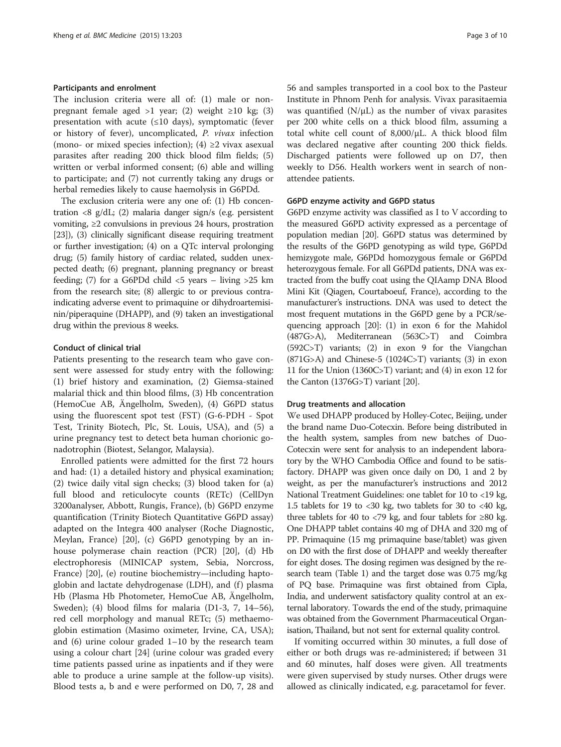#### Participants and enrolment

The inclusion criteria were all of: (1) male or nonpregnant female aged >1 year; (2) weight ≥10 kg; (3) presentation with acute  $(\leq 10 \text{ days})$ , symptomatic (fever or history of fever), uncomplicated, P. vivax infection (mono- or mixed species infection); (4)  $\geq$ 2 vivax asexual parasites after reading 200 thick blood film fields; (5) written or verbal informed consent; (6) able and willing to participate; and (7) not currently taking any drugs or herbal remedies likely to cause haemolysis in G6PDd.

The exclusion criteria were any one of: (1) Hb concentration <8 g/dL; (2) malaria danger sign/s (e.g. persistent vomiting, ≥2 convulsions in previous 24 hours, prostration [[23](#page-9-0)]), (3) clinically significant disease requiring treatment or further investigation; (4) on a QTc interval prolonging drug; (5) family history of cardiac related, sudden unexpected death; (6) pregnant, planning pregnancy or breast feeding; (7) for a G6PDd child <5 years – living >25 km from the research site; (8) allergic to or previous contraindicating adverse event to primaquine or dihydroartemisinin/piperaquine (DHAPP), and (9) taken an investigational drug within the previous 8 weeks.

#### Conduct of clinical trial

Patients presenting to the research team who gave consent were assessed for study entry with the following: (1) brief history and examination, (2) Giemsa-stained malarial thick and thin blood films, (3) Hb concentration (HemoCue AB, Ängelholm, Sweden), (4) G6PD status using the fluorescent spot test (FST) (G-6-PDH - Spot Test, Trinity Biotech, Plc, St. Louis, USA), and (5) a urine pregnancy test to detect beta human chorionic gonadotrophin (Biotest, Selangor, Malaysia).

Enrolled patients were admitted for the first 72 hours and had: (1) a detailed history and physical examination; (2) twice daily vital sign checks; (3) blood taken for (a) full blood and reticulocyte counts (RETc) (CellDyn 3200analyser, Abbott, Rungis, France), (b) G6PD enzyme quantification (Trinity Biotech Quantitative G6PD assay) adapted on the Integra 400 analyser (Roche Diagnostic, Meylan, France) [\[20\]](#page-9-0), (c) G6PD genotyping by an inhouse polymerase chain reaction (PCR) [\[20](#page-9-0)], (d) Hb electrophoresis (MINICAP system, Sebia, Norcross, France) [\[20\]](#page-9-0), (e) routine biochemistry—including haptoglobin and lactate dehydrogenase (LDH), and (f) plasma Hb (Plasma Hb Photometer, HemoCue AB, Ängelholm, Sweden); (4) blood films for malaria (D1-3, 7, 14–56), red cell morphology and manual RETc; (5) methaemoglobin estimation (Masimo oximeter, Irvine, CA, USA); and  $(6)$  urine colour graded 1–10 by the research team using a colour chart [\[24\]](#page-9-0) (urine colour was graded every time patients passed urine as inpatients and if they were able to produce a urine sample at the follow-up visits). Blood tests a, b and e were performed on D0, 7, 28 and 56 and samples transported in a cool box to the Pasteur Institute in Phnom Penh for analysis. Vivax parasitaemia was quantified  $(N/\mu L)$  as the number of vivax parasites per 200 white cells on a thick blood film, assuming a total white cell count of 8,000/μL. A thick blood film was declared negative after counting 200 thick fields. Discharged patients were followed up on D7, then weekly to D56. Health workers went in search of nonattendee patients.

#### G6PD enzyme activity and G6PD status

G6PD enzyme activity was classified as I to V according to the measured G6PD activity expressed as a percentage of population median [[20](#page-9-0)]. G6PD status was determined by the results of the G6PD genotyping as wild type, G6PDd hemizygote male, G6PDd homozygous female or G6PDd heterozygous female. For all G6PDd patients, DNA was extracted from the buffy coat using the QIAamp DNA Blood Mini Kit (Qiagen, Courtaboeuf, France), according to the manufacturer's instructions. DNA was used to detect the most frequent mutations in the G6PD gene by a PCR/sequencing approach [\[20\]](#page-9-0): (1) in exon 6 for the Mahidol (487G>A), Mediterranean (563C>T) and Coimbra (592C>T) variants; (2) in exon 9 for the Viangchan (871G>A) and Chinese-5 (1024C>T) variants; (3) in exon 11 for the Union (1360C>T) variant; and (4) in exon 12 for the Canton (1376G>T) variant [\[20](#page-9-0)].

#### Drug treatments and allocation

We used DHAPP produced by Holley-Cotec, Beijing, under the brand name Duo-Cotecxin. Before being distributed in the health system, samples from new batches of Duo-Cotecxin were sent for analysis to an independent laboratory by the WHO Cambodia Office and found to be satisfactory. DHAPP was given once daily on D0, 1 and 2 by weight, as per the manufacturer's instructions and 2012 National Treatment Guidelines: one tablet for 10 to <19 kg, 1.5 tablets for 19 to <30 kg, two tablets for 30 to <40 kg, three tablets for 40 to <79 kg, and four tablets for ≥80 kg. One DHAPP tablet contains 40 mg of DHA and 320 mg of PP. Primaquine (15 mg primaquine base/tablet) was given on D0 with the first dose of DHAPP and weekly thereafter for eight doses. The dosing regimen was designed by the research team (Table [1](#page-3-0)) and the target dose was 0.75 mg/kg of PQ base. Primaquine was first obtained from Cipla, India, and underwent satisfactory quality control at an external laboratory. Towards the end of the study, primaquine was obtained from the Government Pharmaceutical Organisation, Thailand, but not sent for external quality control.

If vomiting occurred within 30 minutes, a full dose of either or both drugs was re-administered; if between 31 and 60 minutes, half doses were given. All treatments were given supervised by study nurses. Other drugs were allowed as clinically indicated, e.g. paracetamol for fever.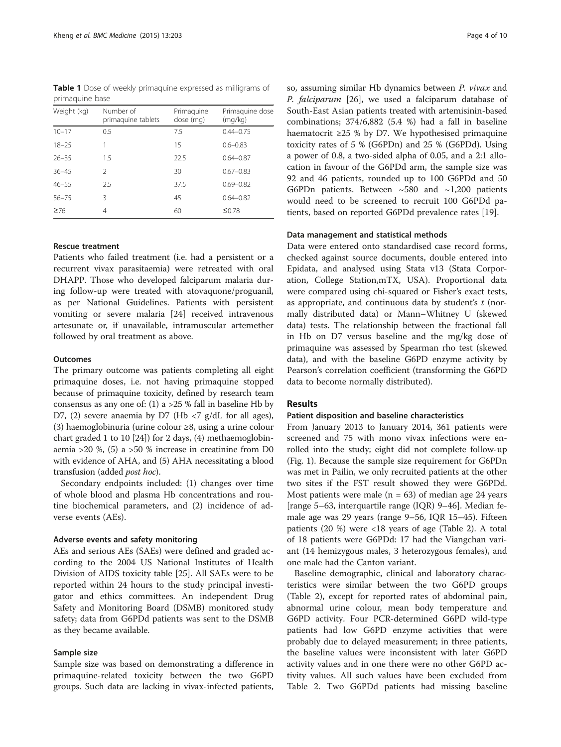<span id="page-3-0"></span>Table 1 Dose of weekly primaquine expressed as milligrams of primaquine base

| Weight (kg) | Number of<br>primaquine tablets | Primaguine<br>dose (mg) | Primaguine dose<br>(mq/kg) |  |  |
|-------------|---------------------------------|-------------------------|----------------------------|--|--|
| $10 - 17$   | 0.5                             | 7.5                     | $0.44 - 0.75$              |  |  |
| $18 - 25$   |                                 | 15                      | $0.6 - 0.83$               |  |  |
| $26 - 35$   | 1.5                             | 22.5                    | $0.64 - 0.87$              |  |  |
| $36 - 45$   | C.                              | 30                      | $0.67 - 0.83$              |  |  |
| $46 - 55$   | 2.5                             | 37.5                    | $0.69 - 0.82$              |  |  |
| $56 - 75$   | 3                               | 45                      | $0.64 - 0.82$              |  |  |
| $\geq 76$   | 4                               | 60                      | $\leq 0.78$                |  |  |

#### Rescue treatment

Patients who failed treatment (i.e. had a persistent or a recurrent vivax parasitaemia) were retreated with oral DHAPP. Those who developed falciparum malaria during follow-up were treated with atovaquone/proguanil, as per National Guidelines. Patients with persistent vomiting or severe malaria [\[24](#page-9-0)] received intravenous artesunate or, if unavailable, intramuscular artemether followed by oral treatment as above.

#### **Outcomes**

The primary outcome was patients completing all eight primaquine doses, i.e. not having primaquine stopped because of primaquine toxicity, defined by research team consensus as any one of: (1) a  $>25$  % fall in baseline Hb by D7, (2) severe anaemia by D7 (Hb  $\langle$  -7 g/dL for all ages), (3) haemoglobinuria (urine colour ≥8, using a urine colour chart graded 1 to 10 [\[24](#page-9-0)]) for 2 days, (4) methaemoglobinaemia >20 %, (5) a >50 % increase in creatinine from D0 with evidence of AHA, and (5) AHA necessitating a blood transfusion (added post hoc).

Secondary endpoints included: (1) changes over time of whole blood and plasma Hb concentrations and routine biochemical parameters, and (2) incidence of adverse events (AEs).

#### Adverse events and safety monitoring

AEs and serious AEs (SAEs) were defined and graded according to the 2004 US National Institutes of Health Division of AIDS toxicity table [\[25](#page-9-0)]. All SAEs were to be reported within 24 hours to the study principal investigator and ethics committees. An independent Drug Safety and Monitoring Board (DSMB) monitored study safety; data from G6PDd patients was sent to the DSMB as they became available.

#### Sample size

Sample size was based on demonstrating a difference in primaquine-related toxicity between the two G6PD groups. Such data are lacking in vivax-infected patients, so, assuming similar Hb dynamics between P. vivax and P. falciparum [[26\]](#page-9-0), we used a falciparum database of South-East Asian patients treated with artemisinin-based combinations; 374/6,882 (5.4 %) had a fall in baseline haematocrit ≥25 % by D7. We hypothesised primaquine toxicity rates of 5 % (G6PDn) and 25 % (G6PDd). Using a power of 0.8, a two-sided alpha of 0.05, and a 2:1 allocation in favour of the G6PDd arm, the sample size was 92 and 46 patients, rounded up to 100 G6PDd and 50 G6PDn patients. Between ~580 and ~1,200 patients would need to be screened to recruit 100 G6PDd patients, based on reported G6PDd prevalence rates [[19\]](#page-9-0).

#### Data management and statistical methods

Data were entered onto standardised case record forms, checked against source documents, double entered into Epidata, and analysed using Stata v13 (Stata Corporation, College Station,mTX, USA). Proportional data were compared using chi-squared or Fisher's exact tests, as appropriate, and continuous data by student's  $t$  (normally distributed data) or Mann–Whitney U (skewed data) tests. The relationship between the fractional fall in Hb on D7 versus baseline and the mg/kg dose of primaquine was assessed by Spearman rho test (skewed data), and with the baseline G6PD enzyme activity by Pearson's correlation coefficient (transforming the G6PD data to become normally distributed).

#### Results

#### Patient disposition and baseline characteristics

From January 2013 to January 2014, 361 patients were screened and 75 with mono vivax infections were enrolled into the study; eight did not complete follow-up (Fig. [1](#page-4-0)). Because the sample size requirement for G6PDn was met in Pailin, we only recruited patients at the other two sites if the FST result showed they were G6PDd. Most patients were male ( $n = 63$ ) of median age 24 years [range 5–63, interquartile range (IQR) 9–46]. Median female age was 29 years (range 9–56, IQR 15–45). Fifteen patients (20 %) were <18 years of age (Table [2](#page-5-0)). A total of 18 patients were G6PDd: 17 had the Viangchan variant (14 hemizygous males, 3 heterozygous females), and one male had the Canton variant.

Baseline demographic, clinical and laboratory characteristics were similar between the two G6PD groups (Table [2](#page-5-0)), except for reported rates of abdominal pain, abnormal urine colour, mean body temperature and G6PD activity. Four PCR-determined G6PD wild-type patients had low G6PD enzyme activities that were probably due to delayed measurement; in three patients, the baseline values were inconsistent with later G6PD activity values and in one there were no other G6PD activity values. All such values have been excluded from Table [2](#page-5-0). Two G6PDd patients had missing baseline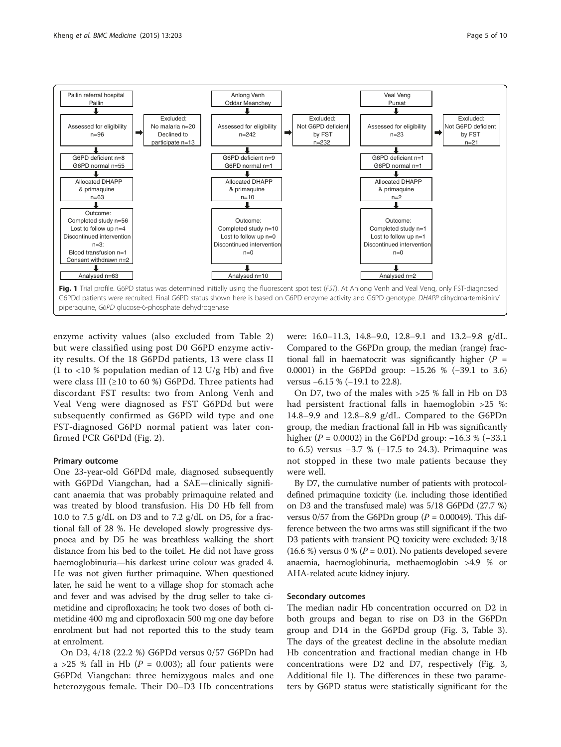<span id="page-4-0"></span>

enzyme activity values (also excluded from Table [2](#page-5-0)) but were classified using post D0 G6PD enzyme activity results. Of the 18 G6PDd patients, 13 were class II (1 to  $\langle$ 10 % population median of 12 U/g Hb) and five were class III (≥10 to 60 %) G6PDd. Three patients had discordant FST results: two from Anlong Venh and Veal Veng were diagnosed as FST G6PDd but were subsequently confirmed as G6PD wild type and one FST-diagnosed G6PD normal patient was later confirmed PCR G6PDd (Fig. [2\)](#page-6-0).

#### Primary outcome

One 23-year-old G6PDd male, diagnosed subsequently with G6PDd Viangchan, had a SAE—clinically significant anaemia that was probably primaquine related and was treated by blood transfusion. His D0 Hb fell from 10.0 to 7.5 g/dL on D3 and to 7.2 g/dL on D5, for a fractional fall of 28 %. He developed slowly progressive dyspnoea and by D5 he was breathless walking the short distance from his bed to the toilet. He did not have gross haemoglobinuria—his darkest urine colour was graded 4. He was not given further primaquine. When questioned later, he said he went to a village shop for stomach ache and fever and was advised by the drug seller to take cimetidine and ciprofloxacin; he took two doses of both cimetidine 400 mg and ciprofloxacin 500 mg one day before enrolment but had not reported this to the study team at enrolment.

On D3, 4/18 (22.2 %) G6PDd versus 0/57 G6PDn had a >25 % fall in Hb ( $P = 0.003$ ); all four patients were G6PDd Viangchan: three hemizygous males and one heterozygous female. Their D0–D3 Hb concentrations

were: 16.0–11.3, 14.8–9.0, 12.8–9.1 and 13.2–9.8 g/dL. Compared to the G6PDn group, the median (range) fractional fall in haematocrit was significantly higher ( $P =$ 0.0001) in the G6PDd group: −15.26 % (−39.1 to 3.6) versus −6.15 % (−19.1 to 22.8).

On D7, two of the males with >25 % fall in Hb on D3 had persistent fractional falls in haemoglobin >25 %: 14.8–9.9 and 12.8–8.9 g/dL. Compared to the G6PDn group, the median fractional fall in Hb was significantly higher ( $P = 0.0002$ ) in the G6PDd group: -16.3 % (-33.1) to 6.5) versus −3.7 % (−17.5 to 24.3). Primaquine was not stopped in these two male patients because they were well.

By D7, the cumulative number of patients with protocoldefined primaquine toxicity (i.e. including those identified on D3 and the transfused male) was 5/18 G6PDd (27.7 %) versus  $0/57$  from the G6PDn group ( $P = 0.00049$ ). This difference between the two arms was still significant if the two D3 patients with transient PQ toxicity were excluded: 3/18 (16.6 %) versus 0 % ( $P = 0.01$ ). No patients developed severe anaemia, haemoglobinuria, methaemoglobin >4.9 % or AHA-related acute kidney injury.

#### Secondary outcomes

The median nadir Hb concentration occurred on D2 in both groups and began to rise on D3 in the G6PDn group and D14 in the G6PDd group (Fig. [3](#page-6-0), Table [3](#page-7-0)). The days of the greatest decline in the absolute median Hb concentration and fractional median change in Hb concentrations were D2 and D7, respectively (Fig. [3](#page-6-0), Additional file [1\)](#page-8-0). The differences in these two parameters by G6PD status were statistically significant for the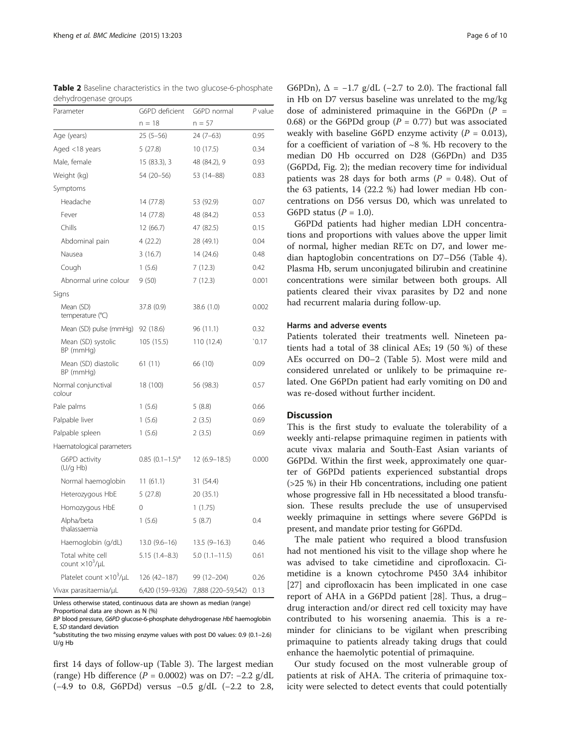| acriyarogeriase groups<br>Parameter           | G6PD deficient       | G6PD normal        | $P$ value |  |
|-----------------------------------------------|----------------------|--------------------|-----------|--|
|                                               | $n = 18$             | $n = 57$           |           |  |
| Age (years)                                   | $25(5-56)$           | $24(7-63)$         | 0.95      |  |
| Aged <18 years                                | 5 (27.8)             | 10(17.5)           | 0.34      |  |
| Male, female                                  | 15 (83.3), 3         | 48 (84.2), 9       | 0.93      |  |
| Weight (kg)                                   | 54 (20–56)           | 53 (14–88)         | 0.83      |  |
| Symptoms                                      |                      |                    |           |  |
| Headache                                      | 14 (77.8)            | 53 (92.9)          | 0.07      |  |
| Fever                                         | 14 (77.8)            | 48 (84.2)          | 0.53      |  |
| Chills                                        | 12 (66.7)            | 47 (82.5)          | 0.15      |  |
| Abdominal pain                                | 4(22.2)              | 28 (49.1)          | 0.04      |  |
| Nausea                                        | 3(16.7)              | 14 (24.6)          | 0.48      |  |
| Cough                                         | 1(5.6)               | 7(12.3)            | 0.42      |  |
| Abnormal urine colour                         | 9(50)                | 7(12.3)            | 0.001     |  |
| Signs                                         |                      |                    |           |  |
| Mean (SD)<br>temperature (°C)                 | 37.8 (0.9)           | 38.6 (1.0)         | 0.002     |  |
| Mean (SD) pulse (mmHg)                        | 92 (18.6)            | 96 (11.1)          | 0.32      |  |
| Mean (SD) systolic<br>BP (mmHg)               | 105 (15.5)           | 110 (12.4)         | 0.17      |  |
| Mean (SD) diastolic<br>BP (mmHg)              | 61(11)               | 66 (10)            | 0.09      |  |
| Normal conjunctival<br>colour                 | 18 (100)             | 56 (98.3)          | 0.57      |  |
| Pale palms                                    | 1(5.6)               | 5(8.8)             | 0.66      |  |
| Palpable liver                                | 1(5.6)               | 2(3.5)             | 0.69      |  |
| Palpable spleen                               | 1(5.6)               | 2(3.5)             | 0.69      |  |
| Haematological parameters                     |                      |                    |           |  |
| G6PD activity<br>(U/q Hb)                     | $0.85$ $(0.1-1.5)^d$ | $12(6.9 - 18.5)$   | 0.000     |  |
| Normal haemoglobin                            | 11(61.1)             | 31 (54.4)          |           |  |
| Heterozygous HbE                              | 5(27.8)              | 20 (35.1)          |           |  |
| Homozygous HbE                                | 0                    | 1(1.75)            |           |  |
| Alpha/beta<br>thalassaemia                    | 1(5.6)               | 5(8.7)             | 0.4       |  |
| Haemoglobin (g/dL)                            | $13.0(9.6-16)$       | $13.5(9-16.3)$     | 0.46      |  |
| Total white cell<br>count $\times 10^3/\mu L$ | 5.15 (1.4–8.3)       | $5.0(1.1-11.5)$    | 0.61      |  |
| Platelet count $\times 10^3/\mu L$            | 126 (42–187)         | 99 (12-204)        | 0.26      |  |
| Vivax parasitaemia/µL                         | 6,420 (159–9326)     | 7,888 (220-59,542) | 0.13      |  |

<span id="page-5-0"></span>Table 2 Baseline characteristics in the two glucose-6-phosphate dehydrogenase groups

Unless otherwise stated, continuous data are shown as median (range)

Proportional data are shown as N (%)

first 14 days of follow-up (Table [3\)](#page-7-0). The largest median (range) Hb difference ( $P = 0.0002$ ) was on D7: -2.2 g/dL (−4.9 to 0.8, G6PDd) versus −0.5 g/dL (−2.2 to 2.8,

G6PDn),  $\Delta = -1.7$  g/dL (-2.7 to 2.0). The fractional fall in Hb on D7 versus baseline was unrelated to the mg/kg dose of administered primaquine in the G6PDn  $(P =$ 0.68) or the G6PDd group ( $P = 0.77$ ) but was associated weakly with baseline G6PD enzyme activity  $(P = 0.013)$ , for a coefficient of variation of  $\sim$ 8 %. Hb recovery to the median D0 Hb occurred on D28 (G6PDn) and D35 (G6PDd, Fig. [2\)](#page-6-0); the median recovery time for individual patients was 28 days for both arms ( $P = 0.48$ ). Out of the 63 patients, 14 (22.2 %) had lower median Hb concentrations on D56 versus D0, which was unrelated to G6PD status ( $P = 1.0$ ).

G6PDd patients had higher median LDH concentrations and proportions with values above the upper limit of normal, higher median RETc on D7, and lower median haptoglobin concentrations on D7–D56 (Table [4](#page-7-0)). Plasma Hb, serum unconjugated bilirubin and creatinine concentrations were similar between both groups. All patients cleared their vivax parasites by D2 and none had recurrent malaria during follow-up.

#### Harms and adverse events

Patients tolerated their treatments well. Nineteen patients had a total of 38 clinical AEs; 19 (50 %) of these AEs occurred on D0–2 (Table [5](#page-8-0)). Most were mild and considered unrelated or unlikely to be primaquine related. One G6PDn patient had early vomiting on D0 and was re-dosed without further incident.

#### **Discussion**

This is the first study to evaluate the tolerability of a weekly anti-relapse primaquine regimen in patients with acute vivax malaria and South-East Asian variants of G6PDd. Within the first week, approximately one quarter of G6PDd patients experienced substantial drops (>25 %) in their Hb concentrations, including one patient whose progressive fall in Hb necessitated a blood transfusion. These results preclude the use of unsupervised weekly primaquine in settings where severe G6PDd is present, and mandate prior testing for G6PDd.

The male patient who required a blood transfusion had not mentioned his visit to the village shop where he was advised to take cimetidine and ciprofloxacin. Cimetidine is a known cytochrome P450 3A4 inhibitor [[27\]](#page-9-0) and ciprofloxacin has been implicated in one case report of AHA in a G6PDd patient [[28\]](#page-9-0). Thus, a drug– drug interaction and/or direct red cell toxicity may have contributed to his worsening anaemia. This is a reminder for clinicians to be vigilant when prescribing primaquine to patients already taking drugs that could enhance the haemolytic potential of primaquine.

Our study focused on the most vulnerable group of patients at risk of AHA. The criteria of primaquine toxicity were selected to detect events that could potentially

BP blood pressure, G6PD glucose-6-phosphate dehydrogenase HbE haemoglobin E, SD standard deviation

<sup>&</sup>lt;sup>a</sup>substituting the two missing enzyme values with post D0 values: 0.9 (0.1-2.6) U/g Hb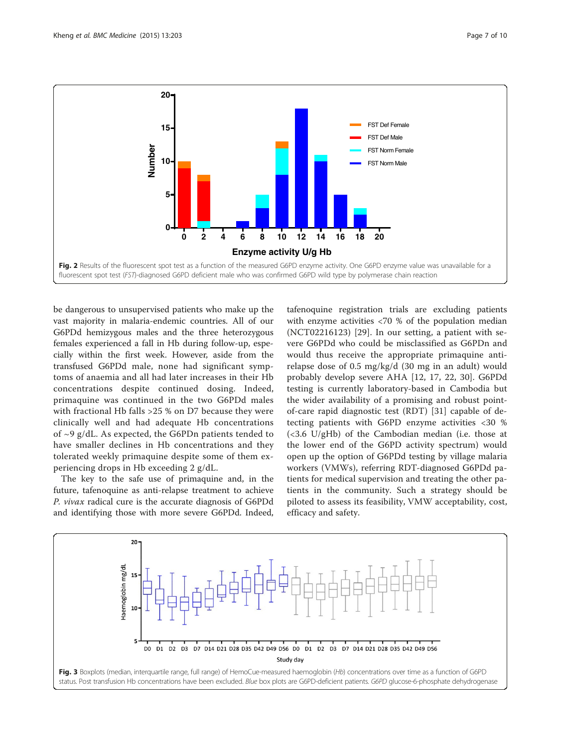<span id="page-6-0"></span>

be dangerous to unsupervised patients who make up the vast majority in malaria-endemic countries. All of our G6PDd hemizygous males and the three heterozygous females experienced a fall in Hb during follow-up, especially within the first week. However, aside from the transfused G6PDd male, none had significant symptoms of anaemia and all had later increases in their Hb concentrations despite continued dosing. Indeed, primaquine was continued in the two G6PDd males with fractional Hb falls >25 % on D7 because they were clinically well and had adequate Hb concentrations of ~9 g/dL. As expected, the G6PDn patients tended to have smaller declines in Hb concentrations and they tolerated weekly primaquine despite some of them experiencing drops in Hb exceeding 2 g/dL.

The key to the safe use of primaquine and, in the future, tafenoquine as anti-relapse treatment to achieve P. vivax radical cure is the accurate diagnosis of G6PDd and identifying those with more severe G6PDd. Indeed, tafenoquine registration trials are excluding patients with enzyme activities <70 % of the population median (NCT02216123) [[29\]](#page-9-0). In our setting, a patient with severe G6PDd who could be misclassified as G6PDn and would thus receive the appropriate primaquine antirelapse dose of 0.5 mg/kg/d (30 mg in an adult) would probably develop severe AHA [[12](#page-9-0), [17](#page-9-0), [22, 30\]](#page-9-0). G6PDd testing is currently laboratory-based in Cambodia but the wider availability of a promising and robust pointof-care rapid diagnostic test (RDT) [\[31](#page-9-0)] capable of detecting patients with G6PD enzyme activities <30 % (<3.6 U/gHb) of the Cambodian median (i.e. those at the lower end of the G6PD activity spectrum) would open up the option of G6PDd testing by village malaria workers (VMWs), referring RDT-diagnosed G6PDd patients for medical supervision and treating the other patients in the community. Such a strategy should be piloted to assess its feasibility, VMW acceptability, cost, efficacy and safety.

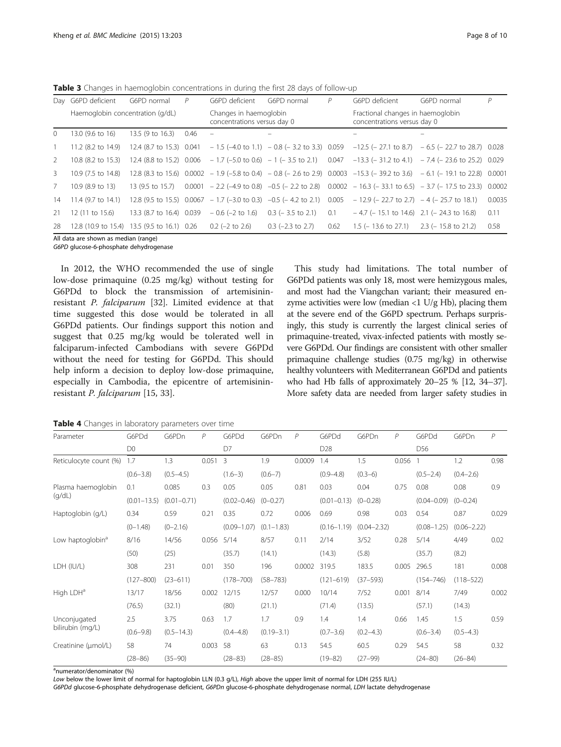<span id="page-7-0"></span>**Table 3** Changes in haemoglobin concentrations in during the first 28 days of follow-up

|              | Day G6PD deficient               | G6PD normal              | P    | G6PD deficient                                                                | G6PD normal                              | P    | G6PD deficient                                                                                                      | G6PD normal                                                                                                                       | P      |
|--------------|----------------------------------|--------------------------|------|-------------------------------------------------------------------------------|------------------------------------------|------|---------------------------------------------------------------------------------------------------------------------|-----------------------------------------------------------------------------------------------------------------------------------|--------|
|              | Haemoglobin concentration (g/dL) |                          |      | Changes in haemoglobin<br>concentrations versus day 0                         |                                          |      | Fractional changes in haemoglobin<br>concentrations versus day 0                                                    |                                                                                                                                   |        |
| $\mathbf{0}$ | 13.0 (9.6 to 16)                 | 13.5 (9 to 16.3)         | 0.46 | $\equiv$                                                                      |                                          |      |                                                                                                                     |                                                                                                                                   |        |
|              | $11.2$ (8.2 to $14.9$ )          |                          |      |                                                                               |                                          |      |                                                                                                                     | 12.4 (8.7 to 15.3) 0.041 - 1.5 (-4.0 to 1.1) - 0.8 (-3.2 to 3.3) 0.059 -12.5 (-27.1 to 8.7) - 6.5 (-22.7 to 28.7) 0.028           |        |
| 2            | 10.8 (8.2 to 15.3)               |                          |      |                                                                               |                                          |      |                                                                                                                     | 12.4 (8.8 to 15.2) $0.006 - 1.7$ (-5.0 to 0.6) $-1$ (-3.5 to 2.1) $0.047 -13.3$ (-31.2 to 4.1) $-7.4$ (-23.6 to 25.2) 0.029       |        |
| 3            | 10.9 (7.5 to 14.8)               |                          |      |                                                                               |                                          |      |                                                                                                                     | 12.8 (8.3 to 15.6) $0.0002 - 1.9$ (-5.8 to 0.4) $-0.8$ (-2.6 to 2.9) $0.0003 - 15.3$ (-39.2 to 3.6) $-6.1$ (-19.1 to 22.8) 0.0001 |        |
| 7            | $10.9(8.9 \text{ to } 13)$       | 13 (9.5 to 15.7)         |      |                                                                               |                                          |      |                                                                                                                     | $0.0001 - 2.2$ (-4.9 to 0.8) -0.5 (-2.2 to 2.8) 0.0002 - 16.3 (-33.1 to 6.5) -3.7 (-17.5 to 23.3) 0.0002                          |        |
| 14           | 11.4 (9.7 to 14.1)               |                          |      |                                                                               |                                          |      | 12.8 (9.5 to 15.5) 0.0067 - 1.7 (-3.0 to 0.3) -0.5 (- 4.2 to 2.1) 0.005 - 12.9 (- 22.7 to 2.7) - 4 (- 25.7 to 18.1) |                                                                                                                                   | 0.0035 |
| 21           | 12 (11 to 15.6)                  | 13.3 (8.7 to 16.4) 0.039 |      |                                                                               | $-0.6$ (-2 to 1.6) 0.3 (-3.5 to 2.1) 0.1 |      | $-4.7$ (-15.1 to 14.6) 2.1 (-24.3 to 16.8)                                                                          |                                                                                                                                   | 0.11   |
| 28           |                                  |                          |      | 12.8 (10.9 to 15.4) 13.5 (9.5 to 16.1) 0.26 0.2 (-2 to 2.6) 0.3 (-2.3 to 2.7) |                                          | 0.62 | $1.5$ ( $-13.6$ to 27.1) 2.3 ( $-15.8$ to 21.2)                                                                     |                                                                                                                                   | 0.58   |

All data are shown as median (range) G6PD glucose-6-phosphate dehydrogenase

In 2012, the WHO recommended the use of single low-dose primaquine (0.25 mg/kg) without testing for G6PDd to block the transmission of artemisininresistant P. falciparum [[32\]](#page-9-0). Limited evidence at that time suggested this dose would be tolerated in all G6PDd patients. Our findings support this notion and suggest that 0.25 mg/kg would be tolerated well in falciparum-infected Cambodians with severe G6PDd without the need for testing for G6PDd. This should help inform a decision to deploy low-dose primaquine, especially in Cambodia, the epicentre of artemisininresistant P. falciparum [\[15](#page-9-0), [33](#page-9-0)].

This study had limitations. The total number of G6PDd patients was only 18, most were hemizygous males, and most had the Viangchan variant; their measured enzyme activities were low (median <1  $U/g$  Hb), placing them at the severe end of the G6PD spectrum. Perhaps surprisingly, this study is currently the largest clinical series of primaquine-treated, vivax-infected patients with mostly severe G6PDd. Our findings are consistent with other smaller primaquine challenge studies (0.75 mg/kg) in otherwise healthy volunteers with Mediterranean G6PDd and patients who had Hb falls of approximately 20–25 % [\[12, 34](#page-9-0)–[37](#page-9-0)]. More safety data are needed from larger safety studies in

Table 4 Changes in laboratory parameters over time

| Parameter                    | G6PDd           | G6PDn           | P     | G6PDd           | G6PDn          | P      | G6PDd           | G6PDn           | $\overline{P}$ | G6PDd           | G6PDn           | $\overline{P}$ |  |
|------------------------------|-----------------|-----------------|-------|-----------------|----------------|--------|-----------------|-----------------|----------------|-----------------|-----------------|----------------|--|
|                              | D <sub>0</sub>  |                 |       | D7              |                |        | D28             |                 |                | D56             |                 |                |  |
| Reticulocyte count (%)       | 1.7             | 1.3             | 0.051 | 3               | 1.9            | 0.0009 | 1.4             | 1.5             | 0.056          |                 | 1.2             | 0.98           |  |
|                              | $(0.6 - 3.8)$   | $(0.5 - 4.5)$   |       | $(1.6-3)$       | $(0.6 - 7)$    |        | $(0.9 - 4.8)$   | $(0.3-6)$       |                | $(0.5 - 2.4)$   | $(0.4 - 2.6)$   |                |  |
| Plasma haemoglobin           | 0.1             | 0.085           | 0.3   | 0.05            | 0.05           | 0.81   | 0.03            | 0.04            | 0.75           | 0.08            | 0.08            | 0.9            |  |
| (q/dL)                       | $(0.01 - 13.5)$ | $(0.01 - 0.71)$ |       | $(0.02 - 0.46)$ | $(0 - 0.27)$   |        | $(0.01 - 0.13)$ | $(0 - 0.28)$    |                | $(0.04 - 0.09)$ | $(0 - 0.24)$    |                |  |
| Haptoglobin (g/L)            | 0.34            | 0.59            | 0.21  | 0.35            | 0.72           | 0.006  | 0.69            | 0.98            | 0.03           | 0.54            | 0.87            | 0.029          |  |
|                              | $(0-1.48)$      | $(0 - 2.16)$    |       | $(0.09 - 1.07)$ | $(0.1 - 1.83)$ |        | $(0.16 - 1.19)$ | $(0.04 - 2.32)$ |                | $(0.08 - 1.25)$ | $(0.06 - 2.22)$ |                |  |
| Low haptoglobin <sup>ª</sup> | 8/16            | 14/56           | 0.056 | 5/14            | 8/57           | 0.11   | 2/14            | 3/52            | 0.28           | 5/14            | 4/49            | 0.02           |  |
|                              | (50)            | (25)            |       | (35.7)          | (14.1)         |        | (14.3)          | (5.8)           |                | (35.7)          | (8.2)           |                |  |
| LDH (IU/L)                   | 308             | 231             | 0.01  | 350             | 196            | 0.0002 | 319.5           | 183.5           | 0.005          | 296.5           | 181             | 0.008          |  |
|                              | $(127 - 800)$   | $(23 - 611)$    |       | $(178 - 700)$   | $(58 - 783)$   |        | $(121 - 619)$   | $(37 - 593)$    |                | $(154 - 746)$   | $(118 - 522)$   |                |  |
| High LDH <sup>a</sup>        | 13/17           | 18/56           | 0.002 | 12/15           | 12/57          | 0.000  | 10/14           | 7/52            | 0.001          | 8/14            | 7/49            | 0.002          |  |
|                              | (76.5)          | (32.1)          |       | (80)            | (21.1)         |        | (71.4)          | (13.5)          |                | (57.1)          | (14.3)          |                |  |
| Unconjugated                 | 2.5             | 3.75            | 0.63  | 1.7             | 1.7            | 0.9    | 1.4             | 1.4             | 0.66           | 1.45            | 1.5             | 0.59           |  |
| bilirubin (mg/L)             | $(0.6 - 9.8)$   | $(0.5 - 14.3)$  |       | $(0.4 - 4.8)$   | $(0.19 - 3.1)$ |        | $(0.7 - 3.6)$   | $(0.2 - 4.3)$   |                | $(0.6 - 3.4)$   | $(0.5 - 4.3)$   |                |  |
| Creatinine (µmol/L)          | 58              | 74              | 0.003 | 58              | 63             | 0.13   | 54.5            | 60.5            | 0.29           | 54.5            | 58              | 0.32           |  |
|                              | $(28 - 86)$     | $(35 - 90)$     |       | $(28 - 83)$     | $(28 - 85)$    |        | $(19 - 82)$     | $(27 - 99)$     |                | $(24 - 80)$     | $(26 - 84)$     |                |  |

<sup>a</sup>numerator/denominator (%)

Low below the lower limit of normal for haptoglobin LLN (0.3 g/L), High above the upper limit of normal for LDH (255 IU/L)

G6PDd glucose-6-phosphate dehydrogenase deficient, G6PDn glucose-6-phosphate dehydrogenase normal, LDH lactate dehydrogenase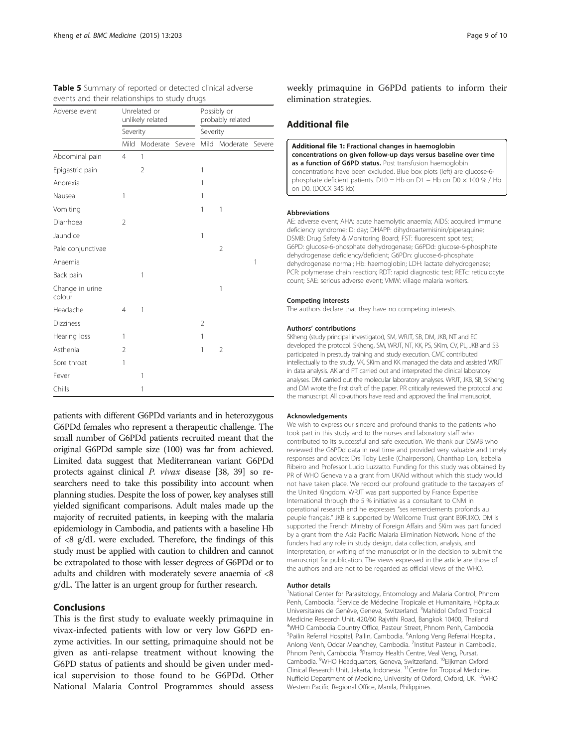<span id="page-8-0"></span>

|  |  | <b>Table 5</b> Summary of reported or detected clinical adverse |  |  |  |
|--|--|-----------------------------------------------------------------|--|--|--|
|  |  | events and their relationships to study drugs                   |  |  |  |

| Adverse event             |                | Unrelated or<br>unlikely related |        | Possibly or<br>probably related<br>Severity |                |        |  |
|---------------------------|----------------|----------------------------------|--------|---------------------------------------------|----------------|--------|--|
|                           | Severity       |                                  |        |                                             |                |        |  |
|                           | Mild           | Moderate                         | Severe | Mild                                        | Moderate       | Severe |  |
| Abdominal pain            | $\overline{4}$ | 1                                |        |                                             |                |        |  |
| Epigastric pain           |                | 2                                |        | 1                                           |                |        |  |
| Anorexia                  |                |                                  |        | 1                                           |                |        |  |
| Nausea                    | 1              |                                  |        | 1                                           |                |        |  |
| Vomiting                  |                |                                  |        | 1                                           | 1              |        |  |
| Diarrhoea                 | $\overline{2}$ |                                  |        |                                             |                |        |  |
| Jaundice                  |                |                                  |        | 1                                           |                |        |  |
| Pale conjunctivae         |                |                                  |        |                                             | $\overline{2}$ |        |  |
| Anaemia                   |                |                                  |        |                                             |                | 1      |  |
| Back pain                 |                | 1                                |        |                                             |                |        |  |
| Change in urine<br>colour |                |                                  |        |                                             | 1              |        |  |
| Headache                  | $\overline{4}$ | 1                                |        |                                             |                |        |  |
| <b>Dizziness</b>          |                |                                  |        | $\overline{2}$                              |                |        |  |
| Hearing loss              | 1              |                                  |        | 1                                           |                |        |  |
| Asthenia                  | 2              |                                  |        | 1                                           | 2              |        |  |
| Sore throat               | 1              |                                  |        |                                             |                |        |  |
| Fever                     |                | 1                                |        |                                             |                |        |  |
| Chills                    |                | 1                                |        |                                             |                |        |  |

patients with different G6PDd variants and in heterozygous G6PDd females who represent a therapeutic challenge. The small number of G6PDd patients recruited meant that the original G6PDd sample size (100) was far from achieved. Limited data suggest that Mediterranean variant G6PDd protects against clinical P. vivax disease [[38](#page-9-0), [39\]](#page-9-0) so researchers need to take this possibility into account when planning studies. Despite the loss of power, key analyses still yielded significant comparisons. Adult males made up the majority of recruited patients, in keeping with the malaria epidemiology in Cambodia, and patients with a baseline Hb of <8 g/dL were excluded. Therefore, the findings of this study must be applied with caution to children and cannot be extrapolated to those with lesser degrees of G6PDd or to adults and children with moderately severe anaemia of <8 g/dL. The latter is an urgent group for further research.

#### **Conclusions**

This is the first study to evaluate weekly primaquine in vivax-infected patients with low or very low G6PD enzyme activities. In our setting, primaquine should not be given as anti-relapse treatment without knowing the G6PD status of patients and should be given under medical supervision to those found to be G6PDd. Other National Malaria Control Programmes should assess

weekly primaquine in G6PDd patients to inform their elimination strategies.

#### Additional file

| Additional file 1: Fractional changes in haemoglobin                                                                                                                           |
|--------------------------------------------------------------------------------------------------------------------------------------------------------------------------------|
| concentrations on given follow-up days versus baseline over time                                                                                                               |
| as a function of G6PD status. Post transfusion haemoglobin                                                                                                                     |
| concentrations have been excluded. Blue box plots (left) are glucose-6-<br>phosphate deficient patients. D10 = Hb on D1 - Hb on D0 $\times$ 100 % / Hb<br>on D0. (DOCX 345 kb) |

#### Abbreviations

AE: adverse event; AHA: acute haemolytic anaemia; AIDS: acquired immune deficiency syndrome; D: day; DHAPP: dihydroartemisinin/piperaquine; DSMB: Drug Safety & Monitoring Board; FST: fluorescent spot test; G6PD: glucose-6-phosphate dehydrogenase; G6PDd: glucose-6-phosphate dehydrogenase deficiency/deficient; G6PDn: glucose-6-phosphate dehydrogenase normal; Hb: haemoglobin; LDH: lactate dehydrogenase; PCR: polymerase chain reaction; RDT: rapid diagnostic test; RETc: reticulocyte count; SAE: serious adverse event; VMW: village malaria workers.

#### Competing interests

The authors declare that they have no competing interests.

#### Authors' contributions

SKheng (study principal investigator), SM, WRJT, SB, DM, JKB, NT and EC developed the protocol. SKheng, SM, WRJT, NT, KK, PS, SKim, CV, PL, JKB and SB participated in prestudy training and study execution. CMC contributed intellectually to the study. VK, SKim and KK managed the data and assisted WRJT in data analysis. AK and PT carried out and interpreted the clinical laboratory analyses. DM carried out the molecular laboratory analyses. WRJT, JKB, SB, SKheng and DM wrote the first draft of the paper. PR critically reviewed the protocol and the manuscript. All co-authors have read and approved the final manuscript.

#### Acknowledgements

We wish to express our sincere and profound thanks to the patients who took part in this study and to the nurses and laboratory staff who contributed to its successful and safe execution. We thank our DSMB who reviewed the G6PDd data in real time and provided very valuable and timely responses and advice: Drs Toby Leslie (Chairperson), Chanthap Lon, Isabella Ribeiro and Professor Lucio Luzzatto. Funding for this study was obtained by PR of WHO Geneva via a grant from UKAid without which this study would not have taken place. We record our profound gratitude to the taxpayers of the United Kingdom. WRJT was part supported by France Expertise International through the 5 % initiative as a consultant to CNM in operational research and he expresses "ses remerciements profonds au peuple français." JKB is supported by Wellcome Trust grant B9RJIXO. DM is supported the French Ministry of Foreign Affairs and SKim was part funded by a grant from the Asia Pacific Malaria Elimination Network. None of the funders had any role in study design, data collection, analysis, and interpretation, or writing of the manuscript or in the decision to submit the manuscript for publication. The views expressed in the article are those of the authors and are not to be regarded as official views of the WHO.

#### Author details

<sup>1</sup>National Center for Parasitology, Entomology and Malaria Control, Phnom Penh, Cambodia. <sup>2</sup>Service de Médecine Tropicale et Humanitaire, Hôpitaux Universitaires de Genève, Geneva, Switzerland. <sup>3</sup>Mahidol Oxford Tropical Medicine Research Unit, 420/60 Rajvithi Road, Bangkok 10400, Thailand. 4 WHO Cambodia Country Office, Pasteur Street, Phnom Penh, Cambodia. <sup>5</sup>Pailin Referral Hospital, Pailin, Cambodia. <sup>6</sup>Anlong Veng Referral Hospital Anlong Venh, Oddar Meanchey, Cambodia. <sup>7</sup>Institut Pasteur in Cambodia, Phnom Penh, Cambodia. <sup>8</sup>Pramoy Health Centre, Veal Veng, Pursat, Cambodia. <sup>9</sup>WHO Headquarters, Geneva, Switzerland. <sup>10</sup>Eijkman Oxford Clinical Research Unit, Jakarta, Indonesia. 11Centre for Tropical Medicine, Nuffield Department of Medicine, University of Oxford, Oxford, UK.<sup>12</sup>WHO Western Pacific Regional Office, Manila, Philippines.